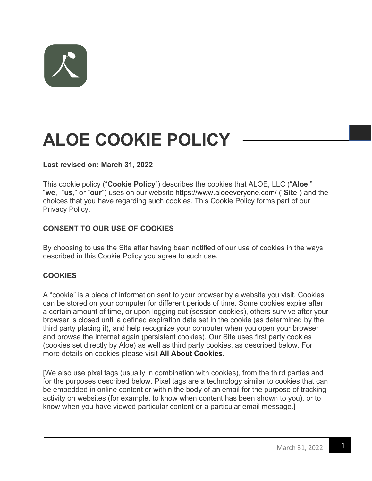

# **ALOE COOKIE POLICY**

## **Last revised on: March 31, 2022**

This cookie policy ("**Cookie Policy**") describes the cookies that ALOE, LLC ("**Aloe**," "**we**," "**us**," or "**our**") uses on our website https://www.aloeeveryone.com/ ("**Site**") and the choices that you have regarding such cookies. This Cookie Policy forms part of our Privacy Policy.

## **CONSENT TO OUR USE OF COOKIES**

By choosing to use the Site after having been notified of our use of cookies in the ways described in this Cookie Policy you agree to such use.

## **COOKIES**

A "cookie" is a piece of information sent to your browser by a website you visit. Cookies can be stored on your computer for different periods of time. Some cookies expire after a certain amount of time, or upon logging out (session cookies), others survive after your browser is closed until a defined expiration date set in the cookie (as determined by the third party placing it), and help recognize your computer when you open your browser and browse the Internet again (persistent cookies). Our Site uses first party cookies (cookies set directly by Aloe) as well as third party cookies, as described below. For more details on cookies please visit **All About Cookies**.

[We also use pixel tags (usually in combination with cookies), from the third parties and for the purposes described below. Pixel tags are a technology similar to cookies that can be embedded in online content or within the body of an email for the purpose of tracking activity on websites (for example, to know when content has been shown to you), or to know when you have viewed particular content or a particular email message.]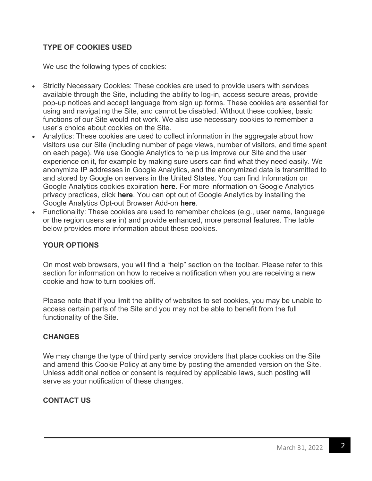# **TYPE OF COOKIES USED**

We use the following types of cookies:

- Strictly Necessary Cookies: These cookies are used to provide users with services available through the Site, including the ability to log-in, access secure areas, provide pop-up notices and accept language from sign up forms. These cookies are essential for using and navigating the Site, and cannot be disabled. Without these cookies, basic functions of our Site would not work. We also use necessary cookies to remember a user's choice about cookies on the Site.
- Analytics: These cookies are used to collect information in the aggregate about how visitors use our Site (including number of page views, number of visitors, and time spent on each page). We use Google Analytics to help us improve our Site and the user experience on it, for example by making sure users can find what they need easily. We anonymize IP addresses in Google Analytics, and the anonymized data is transmitted to and stored by Google on servers in the United States. You can find Information on Google Analytics cookies expiration **here**. For more information on Google Analytics privacy practices, click **here**. You can opt out of Google Analytics by installing the Google Analytics Opt-out Browser Add-on **here**.
- Functionality: These cookies are used to remember choices (e.g., user name, language or the region users are in) and provide enhanced, more personal features. The table below provides more information about these cookies.

## **YOUR OPTIONS**

On most web browsers, you will find a "help" section on the toolbar. Please refer to this section for information on how to receive a notification when you are receiving a new cookie and how to turn cookies off.

Please note that if you limit the ability of websites to set cookies, you may be unable to access certain parts of the Site and you may not be able to benefit from the full functionality of the Site.

# **CHANGES**

We may change the type of third party service providers that place cookies on the Site and amend this Cookie Policy at any time by posting the amended version on the Site. Unless additional notice or consent is required by applicable laws, such posting will serve as your notification of these changes.

# **CONTACT US**